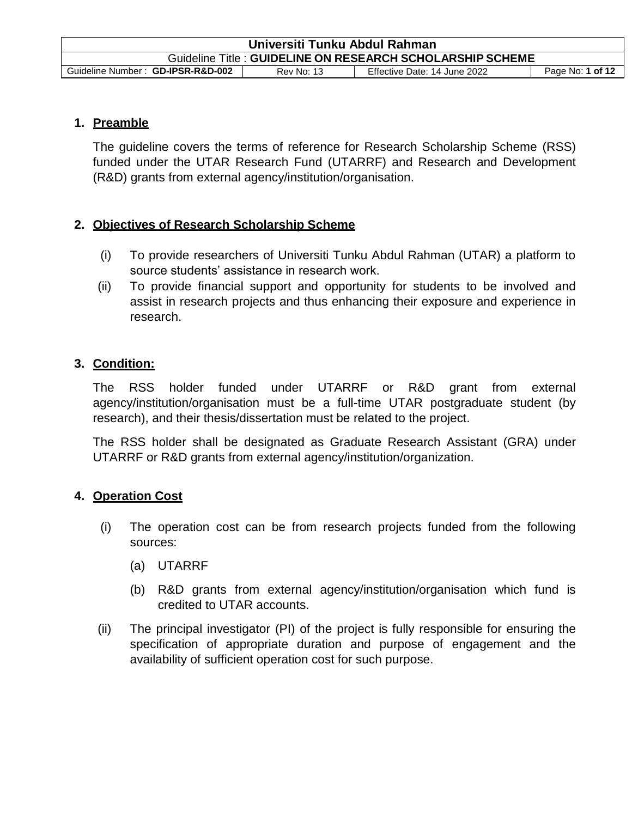| Universiti Tunku Abdul Rahman                                                                              |  |  |  |  |
|------------------------------------------------------------------------------------------------------------|--|--|--|--|
| Guideline Title : GUIDELINE ON RESEARCH SCHOLARSHIP SCHEME                                                 |  |  |  |  |
| Guideline Number: GD-IPSR-R&D-002<br>Effective Date: 14 June 2022<br>Page No: 1 of 12<br><b>Rev No: 13</b> |  |  |  |  |

### **1. Preamble**

The guideline covers the terms of reference for Research Scholarship Scheme (RSS) funded under the UTAR Research Fund (UTARRF) and Research and Development (R&D) grants from external agency/institution/organisation.

# **2. Objectives of Research Scholarship Scheme**

- (i) To provide researchers of Universiti Tunku Abdul Rahman (UTAR) a platform to source students' assistance in research work.
- (ii) To provide financial support and opportunity for students to be involved and assist in research projects and thus enhancing their exposure and experience in research.

### **3. Condition:**

The RSS holder funded under UTARRF or R&D grant from external agency/institution/organisation must be a full-time UTAR postgraduate student (by research), and their thesis/dissertation must be related to the project.

The RSS holder shall be designated as Graduate Research Assistant (GRA) under UTARRF or R&D grants from external agency/institution/organization.

# **4. Operation Cost**

- (i) The operation cost can be from research projects funded from the following sources:
	- (a) UTARRF
	- (b) R&D grants from external agency/institution/organisation which fund is credited to UTAR accounts.
- (ii) The principal investigator (PI) of the project is fully responsible for ensuring the specification of appropriate duration and purpose of engagement and the availability of sufficient operation cost for such purpose.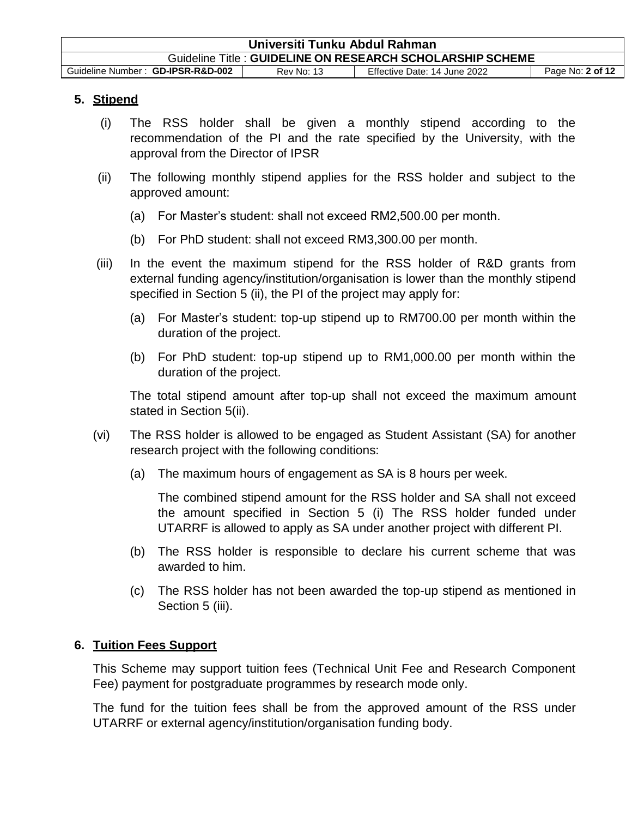| Universiti Tunku Abdul Rahman                                                                              |  |  |  |  |
|------------------------------------------------------------------------------------------------------------|--|--|--|--|
| Guideline Title : GUIDELINE ON RESEARCH SCHOLARSHIP SCHEME                                                 |  |  |  |  |
| Guideline Number: GD-IPSR-R&D-002<br>Effective Date: 14 June 2022<br>Page No: 2 of 12<br><b>Rev No: 13</b> |  |  |  |  |

# **5. Stipend**

- (i) The RSS holder shall be given a monthly stipend according to the recommendation of the PI and the rate specified by the University, with the approval from the Director of IPSR
- (ii) The following monthly stipend applies for the RSS holder and subject to the approved amount:
	- (a) For Master's student: shall not exceed RM2,500.00 per month.
	- (b) For PhD student: shall not exceed RM3,300.00 per month.
- (iii) In the event the maximum stipend for the RSS holder of R&D grants from external funding agency/institution/organisation is lower than the monthly stipend specified in Section 5 (ii), the PI of the project may apply for:
	- (a) For Master's student: top-up stipend up to RM700.00 per month within the duration of the project.
	- (b) For PhD student: top-up stipend up to RM1,000.00 per month within the duration of the project.

The total stipend amount after top-up shall not exceed the maximum amount stated in Section 5(ii).

- (vi) The RSS holder is allowed to be engaged as Student Assistant (SA) for another research project with the following conditions:
	- (a) The maximum hours of engagement as SA is 8 hours per week.

The combined stipend amount for the RSS holder and SA shall not exceed the amount specified in Section 5 (i) The RSS holder funded under UTARRF is allowed to apply as SA under another project with different PI.

- (b) The RSS holder is responsible to declare his current scheme that was awarded to him.
- (c) The RSS holder has not been awarded the top-up stipend as mentioned in Section 5 (iii).

# **6. Tuition Fees Support**

This Scheme may support tuition fees (Technical Unit Fee and Research Component Fee) payment for postgraduate programmes by research mode only.

The fund for the tuition fees shall be from the approved amount of the RSS under UTARRF or external agency/institution/organisation funding body.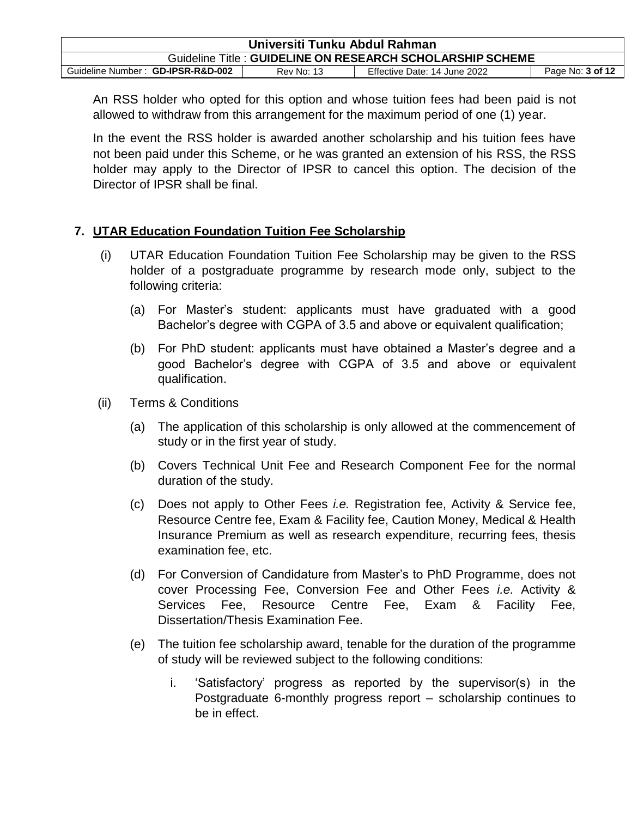| Universiti Tunku Abdul Rahman                                                                       |  |  |  |  |
|-----------------------------------------------------------------------------------------------------|--|--|--|--|
| Guideline Title: GUIDELINE ON RESEARCH SCHOLARSHIP SCHEME                                           |  |  |  |  |
| Guideline Number: GD-IPSR-R&D-002<br>Effective Date: 14 June 2022<br>Page No: 3 of 12<br>Rev No: 13 |  |  |  |  |

An RSS holder who opted for this option and whose tuition fees had been paid is not allowed to withdraw from this arrangement for the maximum period of one (1) year.

In the event the RSS holder is awarded another scholarship and his tuition fees have not been paid under this Scheme, or he was granted an extension of his RSS, the RSS holder may apply to the Director of IPSR to cancel this option. The decision of the Director of IPSR shall be final.

### **7. UTAR Education Foundation Tuition Fee Scholarship**

- (i) UTAR Education Foundation Tuition Fee Scholarship may be given to the RSS holder of a postgraduate programme by research mode only, subject to the following criteria:
	- (a) For Master's student: applicants must have graduated with a good Bachelor's degree with CGPA of 3.5 and above or equivalent qualification;
	- (b) For PhD student: applicants must have obtained a Master's degree and a good Bachelor's degree with CGPA of 3.5 and above or equivalent qualification.
- (ii) Terms & Conditions
	- (a) The application of this scholarship is only allowed at the commencement of study or in the first year of study.
	- (b) Covers Technical Unit Fee and Research Component Fee for the normal duration of the study.
	- (c) Does not apply to Other Fees *i.e.* Registration fee, Activity & Service fee, Resource Centre fee, Exam & Facility fee, Caution Money, Medical & Health Insurance Premium as well as research expenditure, recurring fees, thesis examination fee, etc.
	- (d) For Conversion of Candidature from Master's to PhD Programme, does not cover Processing Fee, Conversion Fee and Other Fees *i.e.* Activity & Services Fee, Resource Centre Fee, Exam & Facility Fee, Dissertation/Thesis Examination Fee.
	- (e) The tuition fee scholarship award, tenable for the duration of the programme of study will be reviewed subject to the following conditions:
		- i. 'Satisfactory' progress as reported by the supervisor(s) in the Postgraduate 6-monthly progress report – scholarship continues to be in effect.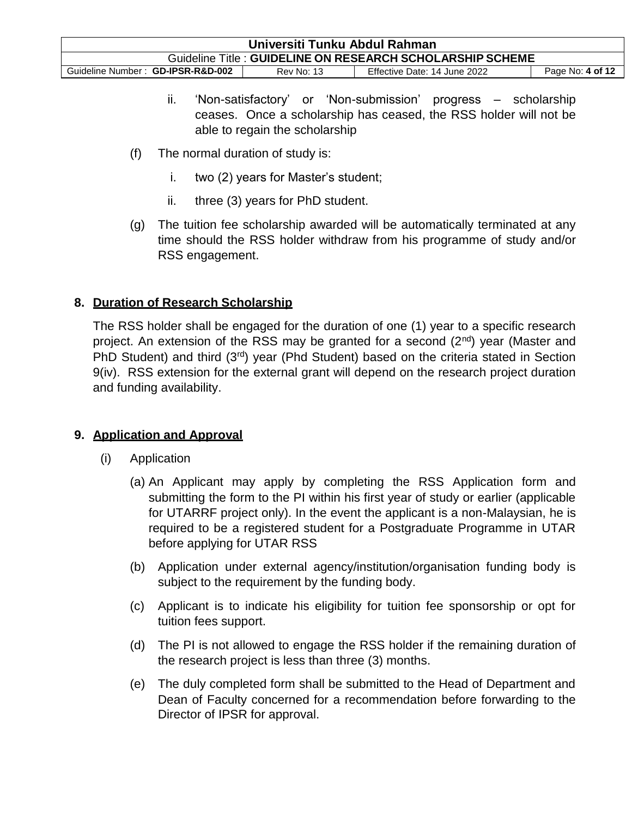| Universiti Tunku Abdul Rahman                                                                       |  |  |  |  |
|-----------------------------------------------------------------------------------------------------|--|--|--|--|
| Guideline Title: GUIDELINE ON RESEARCH SCHOLARSHIP SCHEME                                           |  |  |  |  |
| Effective Date: 14 June 2022<br>Guideline Number: GD-IPSR-R&D-002<br>Page No: 4 of 12<br>Rev No: 13 |  |  |  |  |

- ii. 'Non-satisfactory' or 'Non-submission' progress scholarship ceases. Once a scholarship has ceased, the RSS holder will not be able to regain the scholarship
- (f) The normal duration of study is:
	- i. two (2) years for Master's student;
	- ii. three (3) years for PhD student.
- (g) The tuition fee scholarship awarded will be automatically terminated at any time should the RSS holder withdraw from his programme of study and/or RSS engagement.

# **8. Duration of Research Scholarship**

The RSS holder shall be engaged for the duration of one (1) year to a specific research project. An extension of the RSS may be granted for a second  $(2^{nd})$  year (Master and PhD Student) and third  $(3<sup>rd</sup>)$  year (Phd Student) based on the criteria stated in Section 9(iv). RSS extension for the external grant will depend on the research project duration and funding availability.

# **9. Application and Approval**

- (i) Application
	- (a) An Applicant may apply by completing the RSS Application form and submitting the form to the PI within his first year of study or earlier (applicable for UTARRF project only). In the event the applicant is a non-Malaysian, he is required to be a registered student for a Postgraduate Programme in UTAR before applying for UTAR RSS
	- (b) Application under external agency/institution/organisation funding body is subject to the requirement by the funding body.
	- (c) Applicant is to indicate his eligibility for tuition fee sponsorship or opt for tuition fees support.
	- (d) The PI is not allowed to engage the RSS holder if the remaining duration of the research project is less than three (3) months.
	- (e) The duly completed form shall be submitted to the Head of Department and Dean of Faculty concerned for a recommendation before forwarding to the Director of IPSR for approval.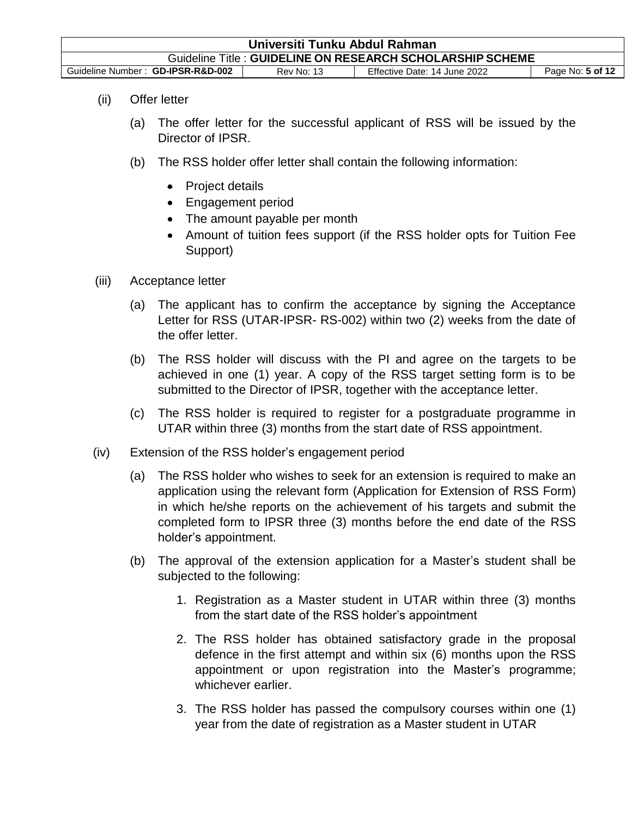| Universiti Tunku Abdul Rahman                                                                              |  |  |  |  |
|------------------------------------------------------------------------------------------------------------|--|--|--|--|
| Guideline Title: GUIDELINE ON RESEARCH SCHOLARSHIP SCHEME                                                  |  |  |  |  |
| Guideline Number: GD-IPSR-R&D-002<br>Effective Date: 14 June 2022<br>Page No: 5 of 12<br><b>Rev No: 13</b> |  |  |  |  |

- (ii) Offer letter
	- (a) The offer letter for the successful applicant of RSS will be issued by the Director of IPSR.
	- (b) The RSS holder offer letter shall contain the following information:
		- Project details
		- Engagement period
		- The amount payable per month
		- Amount of tuition fees support (if the RSS holder opts for Tuition Fee Support)
- (iii) Acceptance letter
	- (a) The applicant has to confirm the acceptance by signing the Acceptance Letter for RSS (UTAR-IPSR- RS-002) within two (2) weeks from the date of the offer letter.
	- (b) The RSS holder will discuss with the PI and agree on the targets to be achieved in one (1) year. A copy of the RSS target setting form is to be submitted to the Director of IPSR, together with the acceptance letter.
	- (c) The RSS holder is required to register for a postgraduate programme in UTAR within three (3) months from the start date of RSS appointment.
- (iv) Extension of the RSS holder's engagement period
	- (a) The RSS holder who wishes to seek for an extension is required to make an application using the relevant form (Application for Extension of RSS Form) in which he/she reports on the achievement of his targets and submit the completed form to IPSR three (3) months before the end date of the RSS holder's appointment.
	- (b) The approval of the extension application for a Master's student shall be subjected to the following:
		- 1. Registration as a Master student in UTAR within three (3) months from the start date of the RSS holder's appointment
		- 2. The RSS holder has obtained satisfactory grade in the proposal defence in the first attempt and within six (6) months upon the RSS appointment or upon registration into the Master's programme; whichever earlier.
		- 3. The RSS holder has passed the compulsory courses within one (1) year from the date of registration as a Master student in UTAR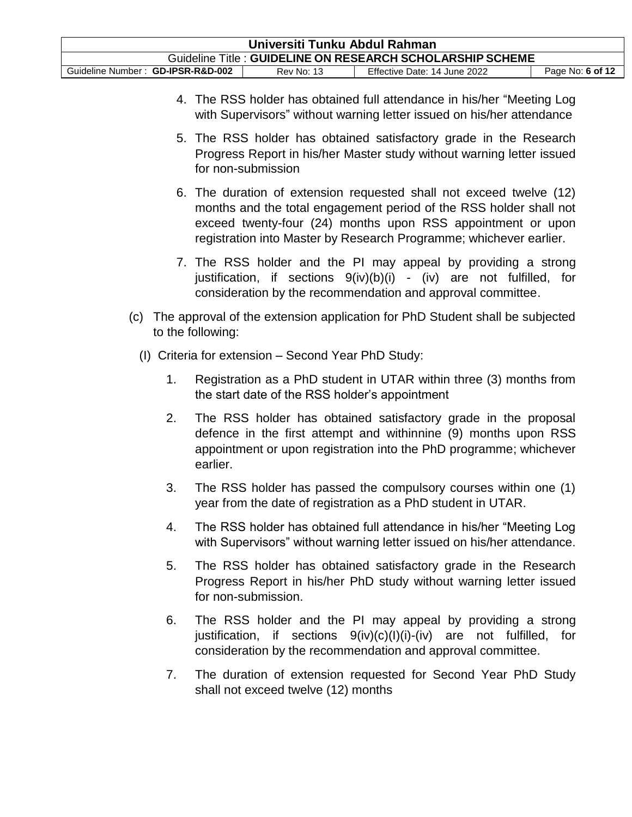| Universiti Tunku Abdul Rahman                                                                              |  |  |  |  |
|------------------------------------------------------------------------------------------------------------|--|--|--|--|
| Guideline Title: GUIDELINE ON RESEARCH SCHOLARSHIP SCHEME                                                  |  |  |  |  |
| Guideline Number: GD-IPSR-R&D-002<br>Effective Date: 14 June 2022<br>Page No: 6 of 12<br><b>Rev No: 13</b> |  |  |  |  |

- 4. The RSS holder has obtained full attendance in his/her "Meeting Log with Supervisors" without warning letter issued on his/her attendance
- 5. The RSS holder has obtained satisfactory grade in the Research Progress Report in his/her Master study without warning letter issued for non-submission
- 6. The duration of extension requested shall not exceed twelve (12) months and the total engagement period of the RSS holder shall not exceed twenty-four (24) months upon RSS appointment or upon registration into Master by Research Programme; whichever earlier.
- 7. The RSS holder and the PI may appeal by providing a strong justification, if sections  $9(iv)(b)(i)$  - (iv) are not fulfilled, for consideration by the recommendation and approval committee.
- (c) The approval of the extension application for PhD Student shall be subjected to the following:
	- (I) Criteria for extension Second Year PhD Study:
		- 1. Registration as a PhD student in UTAR within three (3) months from the start date of the RSS holder's appointment
		- 2. The RSS holder has obtained satisfactory grade in the proposal defence in the first attempt and withinnine (9) months upon RSS appointment or upon registration into the PhD programme; whichever earlier.
		- 3. The RSS holder has passed the compulsory courses within one (1) year from the date of registration as a PhD student in UTAR.
		- 4. The RSS holder has obtained full attendance in his/her "Meeting Log with Supervisors" without warning letter issued on his/her attendance.
		- 5. The RSS holder has obtained satisfactory grade in the Research Progress Report in his/her PhD study without warning letter issued for non-submission.
		- 6. The RSS holder and the PI may appeal by providing a strong justification, if sections 9(iv)(c)(I)(i)-(iv) are not fulfilled, for consideration by the recommendation and approval committee.
		- 7. The duration of extension requested for Second Year PhD Study shall not exceed twelve (12) months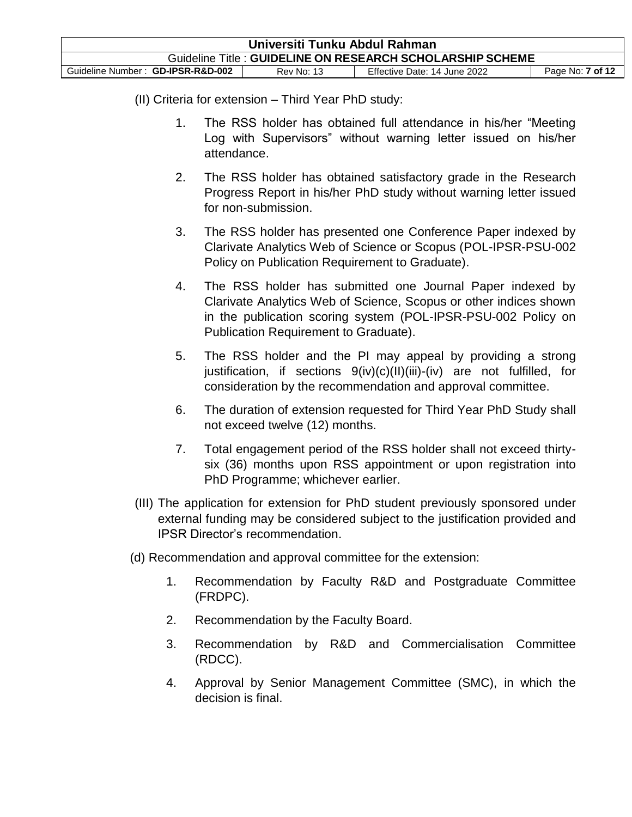| Universiti Tunku Abdul Rahman                                                                              |  |  |  |  |
|------------------------------------------------------------------------------------------------------------|--|--|--|--|
| Guideline Title: GUIDELINE ON RESEARCH SCHOLARSHIP SCHEME                                                  |  |  |  |  |
| Guideline Number: GD-IPSR-R&D-002<br>Effective Date: 14 June 2022<br>Page No: <b>7 of 12</b><br>Rev No: 13 |  |  |  |  |

#### (II) Criteria for extension – Third Year PhD study:

- 1. The RSS holder has obtained full attendance in his/her "Meeting Log with Supervisors" without warning letter issued on his/her attendance.
- 2. The RSS holder has obtained satisfactory grade in the Research Progress Report in his/her PhD study without warning letter issued for non-submission.
- 3. The RSS holder has presented one Conference Paper indexed by Clarivate Analytics Web of Science or Scopus (POL-IPSR-PSU-002 Policy on Publication Requirement to Graduate).
- 4. The RSS holder has submitted one Journal Paper indexed by Clarivate Analytics Web of Science, Scopus or other indices shown in the publication scoring system (POL-IPSR-PSU-002 Policy on Publication Requirement to Graduate).
- 5. The RSS holder and the PI may appeal by providing a strong justification, if sections 9(iv)(c)(II)(iii)-(iv) are not fulfilled, for consideration by the recommendation and approval committee.
- 6. The duration of extension requested for Third Year PhD Study shall not exceed twelve (12) months.
- 7. Total engagement period of the RSS holder shall not exceed thirtysix (36) months upon RSS appointment or upon registration into PhD Programme; whichever earlier.
- (III) The application for extension for PhD student previously sponsored under external funding may be considered subject to the justification provided and IPSR Director's recommendation.
- (d) Recommendation and approval committee for the extension:
	- 1. Recommendation by Faculty R&D and Postgraduate Committee (FRDPC).
	- 2. Recommendation by the Faculty Board.
	- 3. Recommendation by R&D and Commercialisation Committee (RDCC).
	- 4. Approval by Senior Management Committee (SMC), in which the decision is final.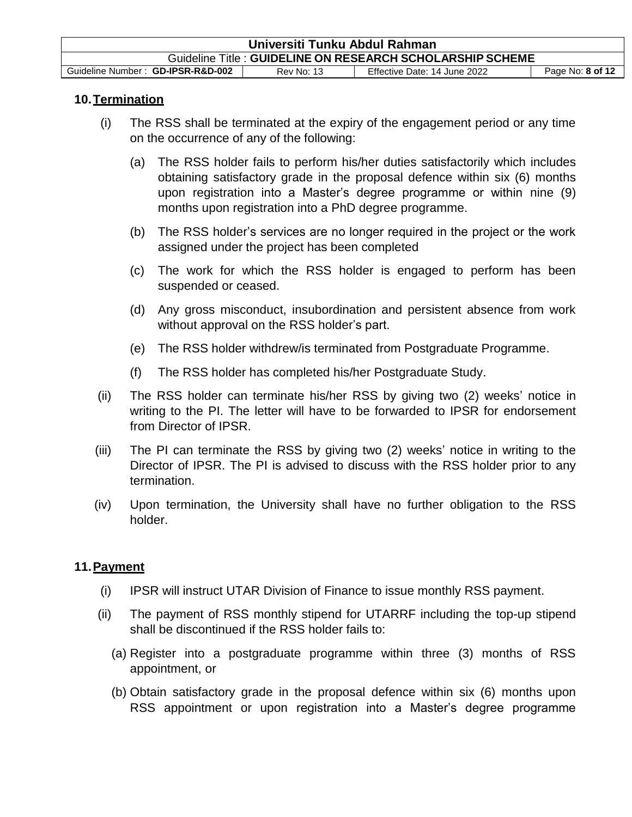| Universiti Tunku Abdul Rahman                                                                              |  |  |  |  |
|------------------------------------------------------------------------------------------------------------|--|--|--|--|
| Guideline Title: GUIDELINE ON RESEARCH SCHOLARSHIP SCHEME                                                  |  |  |  |  |
| Guideline Number: GD-IPSR-R&D-002<br>Effective Date: 14 June 2022<br>Page No: 8 of 12<br><b>Rev No: 13</b> |  |  |  |  |

### **10.Termination**

- (i) The RSS shall be terminated at the expiry of the engagement period or any time on the occurrence of any of the following:
	- (a) The RSS holder fails to perform his/her duties satisfactorily which includes obtaining satisfactory grade in the proposal defence within six (6) months upon registration into a Master's degree programme or within nine (9) months upon registration into a PhD degree programme.
	- (b) The RSS holder's services are no longer required in the project or the work assigned under the project has been completed
	- (c) The work for which the RSS holder is engaged to perform has been suspended or ceased.
	- (d) Any gross misconduct, insubordination and persistent absence from work without approval on the RSS holder's part.
	- (e) The RSS holder withdrew/is terminated from Postgraduate Programme.
	- (f) The RSS holder has completed his/her Postgraduate Study.
- (ii) The RSS holder can terminate his/her RSS by giving two (2) weeks' notice in writing to the PI. The letter will have to be forwarded to IPSR for endorsement from Director of IPSR.
- (iii) The PI can terminate the RSS by giving two (2) weeks' notice in writing to the Director of IPSR. The PI is advised to discuss with the RSS holder prior to any termination.
- (iv) Upon termination, the University shall have no further obligation to the RSS holder.

# **11.Payment**

- (i) IPSR will instruct UTAR Division of Finance to issue monthly RSS payment.
- (ii) The payment of RSS monthly stipend for UTARRF including the top-up stipend shall be discontinued if the RSS holder fails to:
	- (a) Register into a postgraduate programme within three (3) months of RSS appointment, or
	- (b) Obtain satisfactory grade in the proposal defence within six (6) months upon RSS appointment or upon registration into a Master's degree programme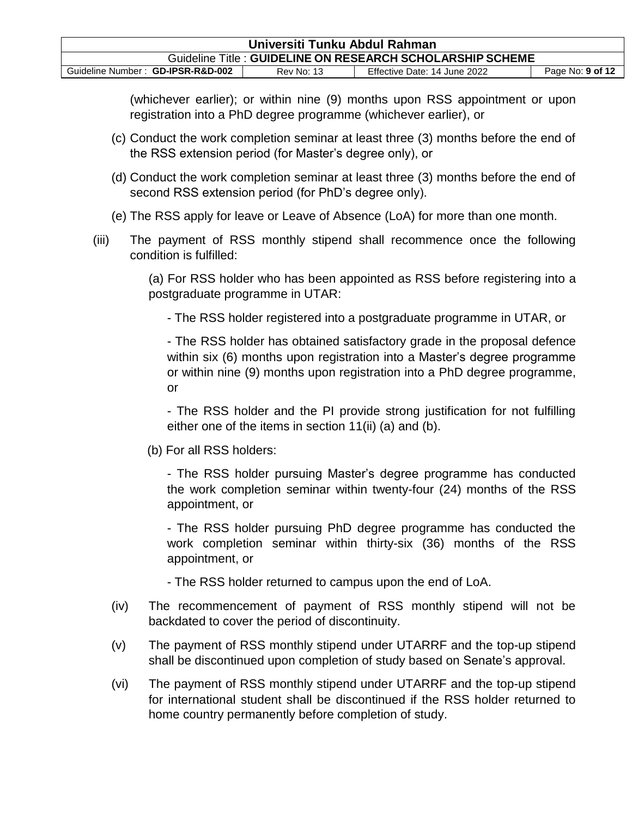| Universiti Tunku Abdul Rahman                                                                       |  |  |  |  |
|-----------------------------------------------------------------------------------------------------|--|--|--|--|
| Guideline Title: GUIDELINE ON RESEARCH SCHOLARSHIP SCHEME                                           |  |  |  |  |
| Guideline Number: GD-IPSR-R&D-002<br>Effective Date: 14 June 2022<br>Page No: 9 of 12<br>Rev No: 13 |  |  |  |  |

(whichever earlier); or within nine (9) months upon RSS appointment or upon registration into a PhD degree programme (whichever earlier), or

- (c) Conduct the work completion seminar at least three (3) months before the end of the RSS extension period (for Master's degree only), or
- (d) Conduct the work completion seminar at least three (3) months before the end of second RSS extension period (for PhD's degree only).
- (e) The RSS apply for leave or Leave of Absence (LoA) for more than one month.
- (iii) The payment of RSS monthly stipend shall recommence once the following condition is fulfilled:

(a) For RSS holder who has been appointed as RSS before registering into a postgraduate programme in UTAR:

- The RSS holder registered into a postgraduate programme in UTAR, or

- The RSS holder has obtained satisfactory grade in the proposal defence within six (6) months upon registration into a Master's degree programme or within nine (9) months upon registration into a PhD degree programme, or

- The RSS holder and the PI provide strong justification for not fulfilling either one of the items in section 11(ii) (a) and (b).

(b) For all RSS holders:

- The RSS holder pursuing Master's degree programme has conducted the work completion seminar within twenty-four (24) months of the RSS appointment, or

- The RSS holder pursuing PhD degree programme has conducted the work completion seminar within thirty-six (36) months of the RSS appointment, or

- The RSS holder returned to campus upon the end of LoA.

- (iv) The recommencement of payment of RSS monthly stipend will not be backdated to cover the period of discontinuity.
- (v) The payment of RSS monthly stipend under UTARRF and the top-up stipend shall be discontinued upon completion of study based on Senate's approval.
- (vi) The payment of RSS monthly stipend under UTARRF and the top-up stipend for international student shall be discontinued if the RSS holder returned to home country permanently before completion of study.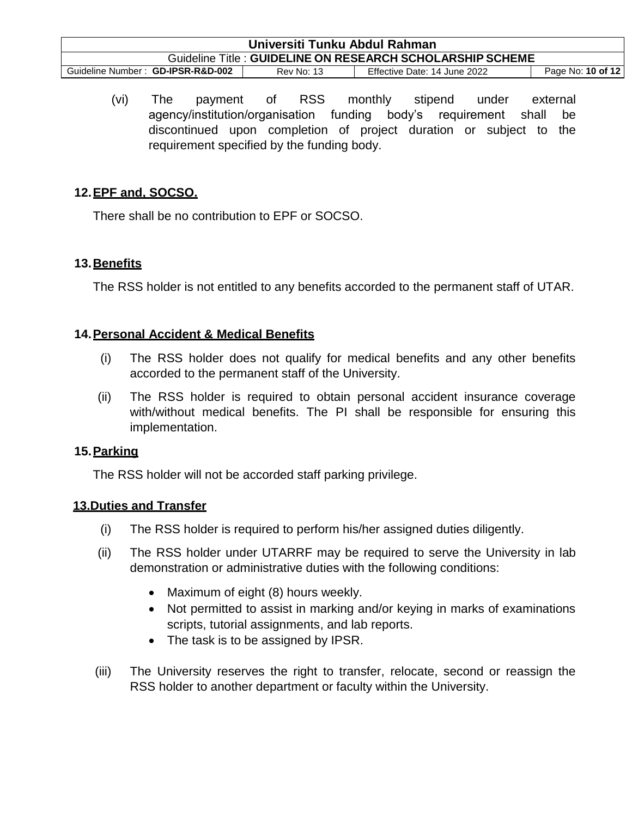| Universiti Tunku Abdul Rahman                                                                               |  |  |  |  |
|-------------------------------------------------------------------------------------------------------------|--|--|--|--|
| Guideline Title: GUIDELINE ON RESEARCH SCHOLARSHIP SCHEME                                                   |  |  |  |  |
| Page No: 10 of 12<br>Guideline Number: GD-IPSR-R&D-002<br>Effective Date: 14 June 2022<br><b>Rev No: 13</b> |  |  |  |  |

(vi) The payment of RSS monthly stipend under external agency/institution/organisation funding body's requirement shall be discontinued upon completion of project duration or subject to the requirement specified by the funding body.

# **12.EPF and, SOCSO.**

There shall be no contribution to EPF or SOCSO.

# **13.Benefits**

The RSS holder is not entitled to any benefits accorded to the permanent staff of UTAR.

### **14.Personal Accident & Medical Benefits**

- (i) The RSS holder does not qualify for medical benefits and any other benefits accorded to the permanent staff of the University.
- (ii) The RSS holder is required to obtain personal accident insurance coverage with/without medical benefits. The PI shall be responsible for ensuring this implementation.

#### **15.Parking**

The RSS holder will not be accorded staff parking privilege.

#### **13.Duties and Transfer**

- (i) The RSS holder is required to perform his/her assigned duties diligently.
- (ii) The RSS holder under UTARRF may be required to serve the University in lab demonstration or administrative duties with the following conditions:
	- Maximum of eight (8) hours weekly.
	- Not permitted to assist in marking and/or keying in marks of examinations scripts, tutorial assignments, and lab reports.
	- The task is to be assigned by IPSR.
- (iii) The University reserves the right to transfer, relocate, second or reassign the RSS holder to another department or faculty within the University.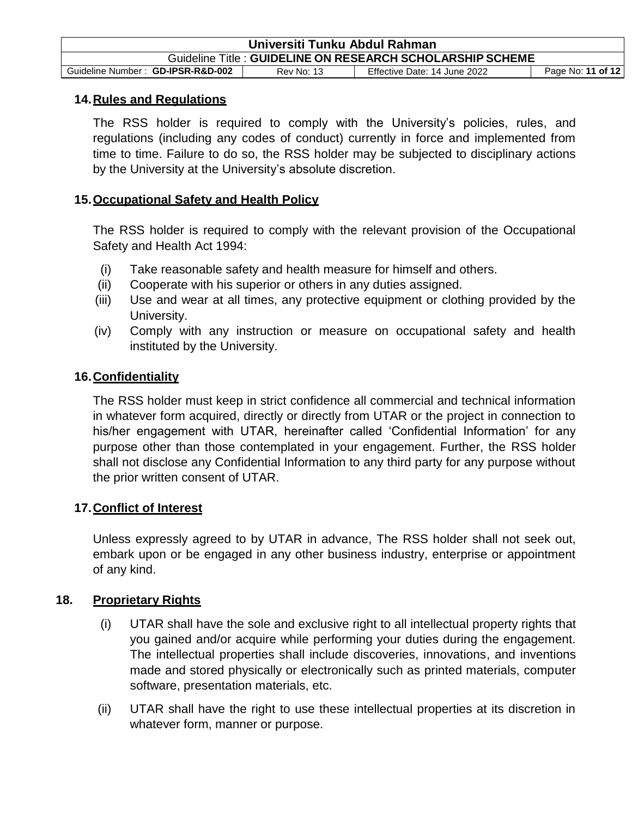| Universiti Tunku Abdul Rahman                                                                               |  |  |  |  |
|-------------------------------------------------------------------------------------------------------------|--|--|--|--|
| Guideline Title: GUIDELINE ON RESEARCH SCHOLARSHIP SCHEME                                                   |  |  |  |  |
| Guideline Number: GD-IPSR-R&D-002<br>Page No: 11 of 12<br>Effective Date: 14 June 2022<br><b>Rev No: 13</b> |  |  |  |  |

#### **14.Rules and Regulations**

The RSS holder is required to comply with the University's policies, rules, and regulations (including any codes of conduct) currently in force and implemented from time to time. Failure to do so, the RSS holder may be subjected to disciplinary actions by the University at the University's absolute discretion.

### **15.Occupational Safety and Health Policy**

The RSS holder is required to comply with the relevant provision of the Occupational Safety and Health Act 1994:

- (i) Take reasonable safety and health measure for himself and others.
- (ii) Cooperate with his superior or others in any duties assigned.
- (iii) Use and wear at all times, any protective equipment or clothing provided by the University.
- (iv) Comply with any instruction or measure on occupational safety and health instituted by the University.

# **16.Confidentiality**

The RSS holder must keep in strict confidence all commercial and technical information in whatever form acquired, directly or directly from UTAR or the project in connection to his/her engagement with UTAR, hereinafter called 'Confidential Information' for any purpose other than those contemplated in your engagement. Further, the RSS holder shall not disclose any Confidential Information to any third party for any purpose without the prior written consent of UTAR.

#### **17.Conflict of Interest**

Unless expressly agreed to by UTAR in advance, The RSS holder shall not seek out, embark upon or be engaged in any other business industry, enterprise or appointment of any kind.

# **18. Proprietary Rights**

- (i) UTAR shall have the sole and exclusive right to all intellectual property rights that you gained and/or acquire while performing your duties during the engagement. The intellectual properties shall include discoveries, innovations, and inventions made and stored physically or electronically such as printed materials, computer software, presentation materials, etc.
- (ii) UTAR shall have the right to use these intellectual properties at its discretion in whatever form, manner or purpose.